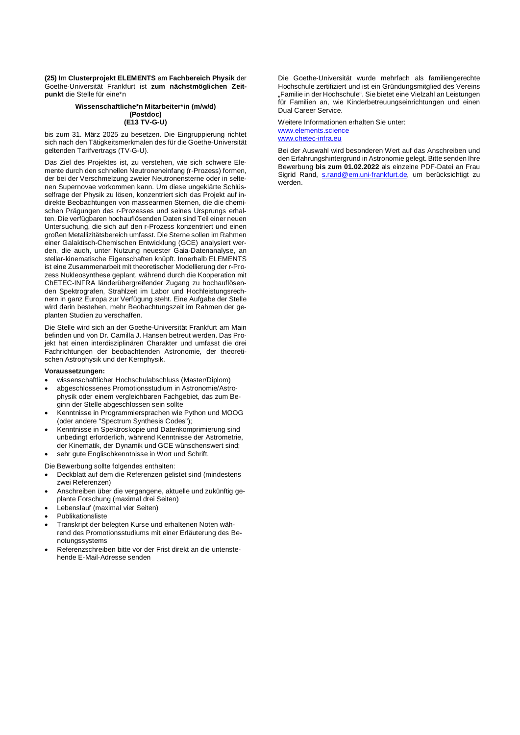**(25)** Im **Clusterprojekt ELEMENTS** am **Fachbereich Physik** der Goethe-Universität Frankfurt ist **zum nächstmöglichen Zeitpunkt** die Stelle für eine\*n

## **Wissenschaftliche\*n Mitarbeiter\*in (m/w/d) (Postdoc) (E13 TV-G-U)**

bis zum 31. März 2025 zu besetzen. Die Eingruppierung richtet sich nach den Tätigkeitsmerkmalen des für die Goethe-Universität geltenden Tarifvertrags (TV-G-U).

Das Ziel des Projektes ist, zu verstehen, wie sich schwere Elemente durch den schnellen Neutroneneinfang (r-Prozess) formen, der bei der Verschmelzung zweier Neutronensterne oder in seltenen Supernovae vorkommen kann. Um diese ungeklärte Schlüsselfrage der Physik zu lösen, konzentriert sich das Projekt auf indirekte Beobachtungen von massearmen Sternen, die die chemischen Prägungen des r-Prozesses und seines Ursprungs erhalten. Die verfügbaren hochauflösenden Daten sind Teil einer neuen Untersuchung, die sich auf den r-Prozess konzentriert und einen großen Metallizitätsbereich umfasst. Die Sterne sollen im Rahmen einer Galaktisch-Chemischen Entwicklung (GCE) analysiert werden, die auch, unter Nutzung neuester Gaia-Datenanalyse, an stellar-kinematische Eigenschaften knüpft. Innerhalb ELEMENTS ist eine Zusammenarbeit mit theoretischer Modellierung der r-Prozess Nukleosynthese geplant, während durch die Kooperation mit ChETEC-INFRA länderübergreifender Zugang zu hochauflösenden Spektrografen, Strahlzeit im Labor und Hochleistungsrechnern in ganz Europa zur Verfügung steht. Eine Aufgabe der Stelle wird darin bestehen, mehr Beobachtungszeit im Rahmen der geplanten Studien zu verschaffen.

Die Stelle wird sich an der Goethe-Universität Frankfurt am Main befinden und von Dr. Camilla J. Hansen betreut werden. Das Projekt hat einen interdisziplinären Charakter und umfasst die drei Fachrichtungen der beobachtenden Astronomie, der theoretischen Astrophysik und der Kernphysik.

#### **Voraussetzungen:**

- wissenschaftlicher Hochschulabschluss (Master/Diplom)
- abgeschlossenes Promotionsstudium in Astronomie/Astrophysik oder einem vergleichbaren Fachgebiet, das zum Beginn der Stelle abgeschlossen sein sollte
- Kenntnisse in Programmiersprachen wie Python und MOOG (oder andere "Spectrum Synthesis Codes");
- Kenntnisse in Spektroskopie und Datenkomprimierung sind unbedingt erforderlich, während Kenntnisse der Astrometrie, der Kinematik, der Dynamik und GCE wünschenswert sind;
- sehr gute Englischkenntnisse in Wort und Schrift.

Die Bewerbung sollte folgendes enthalten:

- Deckblatt auf dem die Referenzen gelistet sind (mindestens zwei Referenzen)
- Anschreiben über die vergangene, aktuelle und zukünftig geplante Forschung (maximal drei Seiten)
- Lebenslauf (maximal vier Seiten)
- Publikationsliste
- Transkript der belegten Kurse und erhaltenen Noten während des Promotionsstudiums mit einer Erläuterung des Benotungssystems
- Referenzschreiben bitte vor der Frist direkt an die untenstehende E-Mail-Adresse senden

Die Goethe-Universität wurde mehrfach als familiengerechte Hochschule zertifiziert und ist ein Gründungsmitglied des Vereins "Familie in der Hochschule". Sie bietet eine Vielzahl an Leistungen für Familien an, wie Kinderbetreuungseinrichtungen und einen Dual Career Service.

Weitere Informationen erhalten Sie unter: www.elements.science www.chetec-infra.eu

Bei der Auswahl wird besonderen Wert auf das Anschreiben und den Erfahrungshintergrund in Astronomie gelegt. Bitte senden Ihre Bewerbung **bis zum 01.02.2022** als einzelne PDF-Datei an Frau Sigrid Rand, s.rand@em.uni-frankfurt.de, um berücksichtigt zu werden.